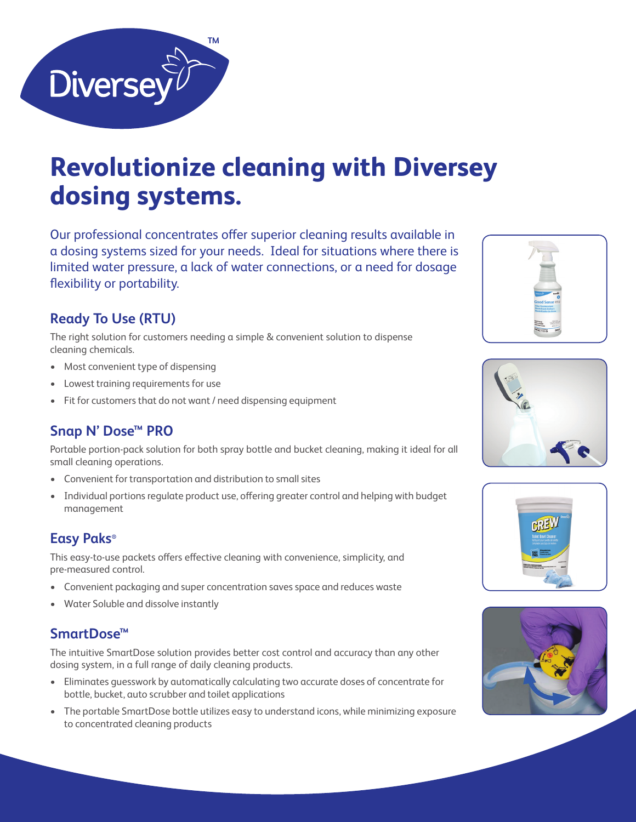

# **Revolutionize cleaning with Diversey dosing systems.**

Our professional concentrates offer superior cleaning results available in a dosing systems sized for your needs. Ideal for situations where there is limited water pressure, a lack of water connections, or a need for dosage flexibility or portability.

## **Ready To Use (RTU)**

The right solution for customers needing a simple & convenient solution to dispense cleaning chemicals.

- Most convenient type of dispensing
- Lowest training requirements for use
- Fit for customers that do not want / need dispensing equipment

## **Snap N' Dose™ PRO**

Portable portion-pack solution for both spray bottle and bucket cleaning, making it ideal for all small cleaning operations.

- Convenient for transportation and distribution to small sites
- Individual portions regulate product use, offering greater control and helping with budget management

#### **Easy Paks®**

This easy-to-use packets offers effective cleaning with convenience, simplicity, and pre-measured control.

- Convenient packaging and super concentration saves space and reduces waste
- Water Soluble and dissolve instantly

### **SmartDose™**

The intuitive SmartDose solution provides better cost control and accuracy than any other dosing system, in a full range of daily cleaning products.

- Eliminates guesswork by automatically calculating two accurate doses of concentrate for bottle, bucket, auto scrubber and toilet applications
- The portable SmartDose bottle utilizes easy to understand icons, while minimizing exposure to concentrated cleaning products